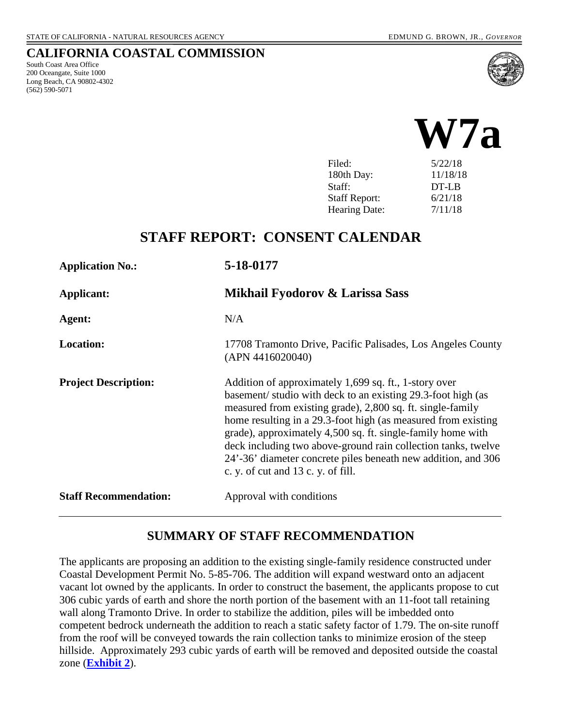#### **CALIFORNIA COASTAL COMMISSION**

South Coast Area Office 200 Oceangate, Suite 1000 Long Beach, CA 90802-4302 (562) 590-5071





Hearing Date:  $7/11/18$ 

# **STAFF REPORT: CONSENT CALENDAR**

| <b>Application No.:</b>      | 5-18-0177                                                                                                                                                                                                                                                                                                                                                                                                                                                                                   |
|------------------------------|---------------------------------------------------------------------------------------------------------------------------------------------------------------------------------------------------------------------------------------------------------------------------------------------------------------------------------------------------------------------------------------------------------------------------------------------------------------------------------------------|
| Applicant:                   | Mikhail Fyodorov & Larissa Sass                                                                                                                                                                                                                                                                                                                                                                                                                                                             |
| Agent:                       | N/A                                                                                                                                                                                                                                                                                                                                                                                                                                                                                         |
| <b>Location:</b>             | 17708 Tramonto Drive, Pacific Palisades, Los Angeles County<br>(APN 4416020040)                                                                                                                                                                                                                                                                                                                                                                                                             |
| <b>Project Description:</b>  | Addition of approximately 1,699 sq. ft., 1-story over<br>basement/ studio with deck to an existing 29.3-foot high (as<br>measured from existing grade), 2,800 sq. ft. single-family<br>home resulting in a 29.3-foot high (as measured from existing<br>grade), approximately 4,500 sq. ft. single-family home with<br>deck including two above-ground rain collection tanks, twelve<br>24'-36' diameter concrete piles beneath new addition, and 306<br>c. y. of cut and 13 c. y. of fill. |
| <b>Staff Recommendation:</b> | Approval with conditions                                                                                                                                                                                                                                                                                                                                                                                                                                                                    |

### **SUMMARY OF STAFF RECOMMENDATION**

The applicants are proposing an addition to the existing single-family residence constructed under Coastal Development Permit No. 5-85-706. The addition will expand westward onto an adjacent vacant lot owned by the applicants. In order to construct the basement, the applicants propose to cut 306 cubic yards of earth and shore the north portion of the basement with an 11-foot tall retaining wall along Tramonto Drive. In order to stabilize the addition, piles will be imbedded onto competent bedrock underneath the addition to reach a static safety factor of 1.79. The on-site runoff from the roof will be conveyed towards the rain collection tanks to minimize erosion of the steep hillside. Approximately 293 cubic yards of earth will be removed and deposited outside the coastal zone (**[Exhibit 2](https://documents.coastal.ca.gov/reports/2018/7/W7a/W7a-7-2018-exhibits.pdf)**).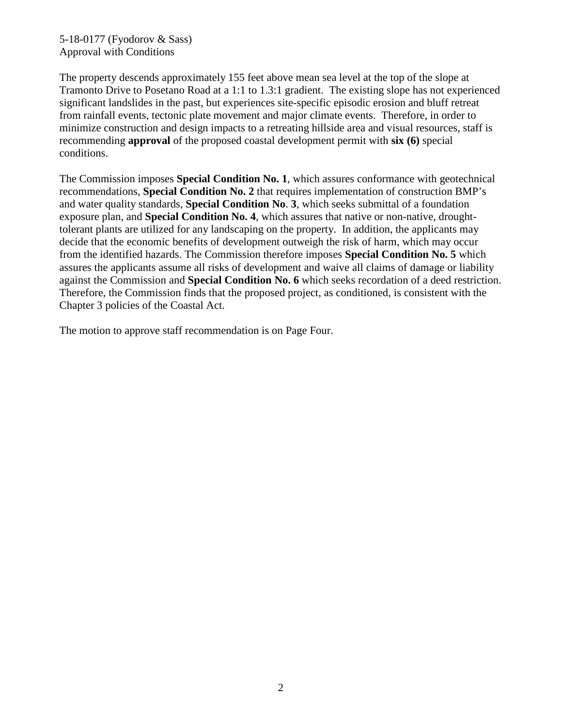5-18-0177 (Fyodorov & Sass) Approval with Conditions

The property descends approximately 155 feet above mean sea level at the top of the slope at Tramonto Drive to Posetano Road at a 1:1 to 1.3:1 gradient. The existing slope has not experienced significant landslides in the past, but experiences site-specific episodic erosion and bluff retreat from rainfall events, tectonic plate movement and major climate events. Therefore, in order to minimize construction and design impacts to a retreating hillside area and visual resources, staff is recommending **approval** of the proposed coastal development permit with **six (6)** special conditions.

The Commission imposes **Special Condition No. 1**, which assures conformance with geotechnical recommendations, **Special Condition No. 2** that requires implementation of construction BMP's and water quality standards, **Special Condition No**. **3**, which seeks submittal of a foundation exposure plan, and **Special Condition No. 4**, which assures that native or non-native, droughttolerant plants are utilized for any landscaping on the property. In addition, the applicants may decide that the economic benefits of development outweigh the risk of harm, which may occur from the identified hazards. The Commission therefore imposes **Special Condition No. 5** which assures the applicants assume all risks of development and waive all claims of damage or liability against the Commission and **Special Condition No. 6** which seeks recordation of a deed restriction. Therefore, the Commission finds that the proposed project, as conditioned, is consistent with the Chapter 3 policies of the Coastal Act.

The motion to approve staff recommendation is on Page Four.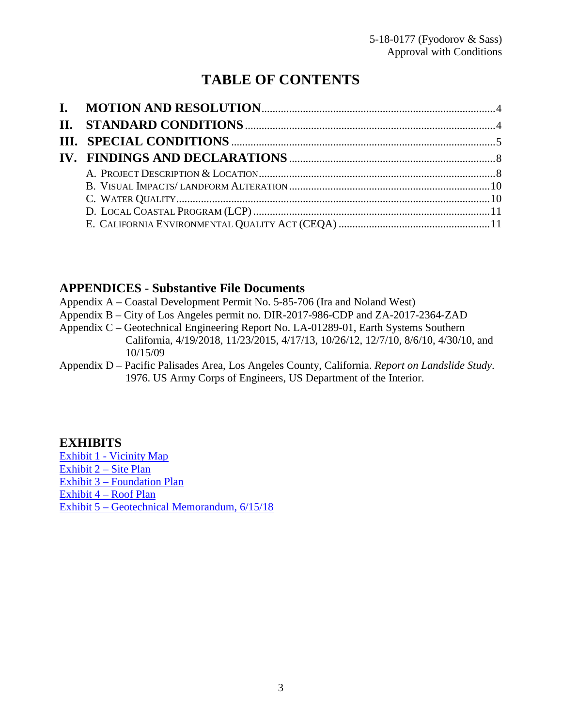# **TABLE OF CONTENTS**

### **APPENDICES** - **Substantive File Documents**

- Appendix A Coastal Development Permit No. 5-85-706 (Ira and Noland West)
- Appendix B City of Los Angeles permit no. DIR-2017-986-CDP and ZA-2017-2364-ZAD
- Appendix C Geotechnical Engineering Report No. LA-01289-01, Earth Systems Southern California, 4/19/2018, 11/23/2015, 4/17/13, 10/26/12, 12/7/10, 8/6/10, 4/30/10, and 10/15/09
- Appendix D Pacific Palisades Area, Los Angeles County, California. *Report on Landslide Study*. 1976. US Army Corps of Engineers, US Department of the Interior.

### **EXHIBITS**

[Exhibit 1 - Vicinity Map](https://documents.coastal.ca.gov/reports/2018/7/W7a/W7a-7-2018-exhibits.pdf) [Exhibit 2 – Site Plan](https://documents.coastal.ca.gov/reports/2018/7/W7a/W7a-7-2018-exhibits.pdf) [Exhibit 3 – Foundation Plan](https://documents.coastal.ca.gov/reports/2018/7/W7a/W7a-7-2018-exhibits.pdf) [Exhibit 4 – Roof Plan](https://documents.coastal.ca.gov/reports/2018/7/W7a/W7a-7-2018-exhibits.pdf)  [Exhibit 5 – Geotechnical Memorandum, 6/15/18](https://documents.coastal.ca.gov/reports/2018/7/W7a/W7a-7-2018-exhibits.pdf)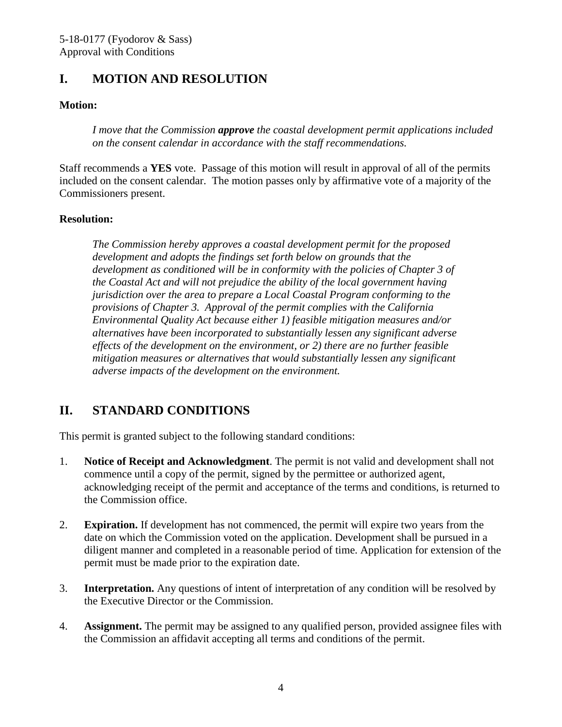# <span id="page-3-0"></span>**I. MOTION AND RESOLUTION**

#### **Motion:**

*I move that the Commission approve the coastal development permit applications included on the consent calendar in accordance with the staff recommendations.*

Staff recommends a **YES** vote. Passage of this motion will result in approval of all of the permits included on the consent calendar. The motion passes only by affirmative vote of a majority of the Commissioners present.

#### **Resolution:**

*The Commission hereby approves a coastal development permit for the proposed development and adopts the findings set forth below on grounds that the development as conditioned will be in conformity with the policies of Chapter 3 of the Coastal Act and will not prejudice the ability of the local government having jurisdiction over the area to prepare a Local Coastal Program conforming to the provisions of Chapter 3. Approval of the permit complies with the California Environmental Quality Act because either 1) feasible mitigation measures and/or alternatives have been incorporated to substantially lessen any significant adverse effects of the development on the environment, or 2) there are no further feasible mitigation measures or alternatives that would substantially lessen any significant adverse impacts of the development on the environment.* 

# <span id="page-3-1"></span>**II. STANDARD CONDITIONS**

This permit is granted subject to the following standard conditions:

- 1. **Notice of Receipt and Acknowledgment**. The permit is not valid and development shall not commence until a copy of the permit, signed by the permittee or authorized agent, acknowledging receipt of the permit and acceptance of the terms and conditions, is returned to the Commission office.
- 2. **Expiration.** If development has not commenced, the permit will expire two years from the date on which the Commission voted on the application. Development shall be pursued in a diligent manner and completed in a reasonable period of time. Application for extension of the permit must be made prior to the expiration date.
- 3. **Interpretation.** Any questions of intent of interpretation of any condition will be resolved by the Executive Director or the Commission.
- 4. **Assignment.** The permit may be assigned to any qualified person, provided assignee files with the Commission an affidavit accepting all terms and conditions of the permit.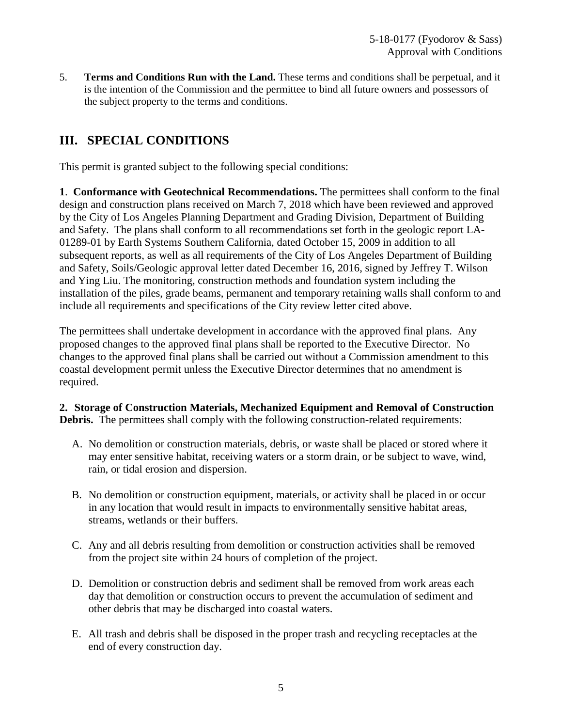5. **Terms and Conditions Run with the Land.** These terms and conditions shall be perpetual, and it is the intention of the Commission and the permittee to bind all future owners and possessors of the subject property to the terms and conditions.

# <span id="page-4-0"></span>**III. SPECIAL CONDITIONS**

This permit is granted subject to the following special conditions:

**1**. **Conformance with Geotechnical Recommendations.** The permittees shall conform to the final design and construction plans received on March 7, 2018 which have been reviewed and approved by the City of Los Angeles Planning Department and Grading Division, Department of Building and Safety. The plans shall conform to all recommendations set forth in the geologic report LA-01289-01 by Earth Systems Southern California, dated October 15, 2009 in addition to all subsequent reports, as well as all requirements of the City of Los Angeles Department of Building and Safety, Soils/Geologic approval letter dated December 16, 2016, signed by Jeffrey T. Wilson and Ying Liu. The monitoring, construction methods and foundation system including the installation of the piles, grade beams, permanent and temporary retaining walls shall conform to and include all requirements and specifications of the City review letter cited above.

The permittees shall undertake development in accordance with the approved final plans. Any proposed changes to the approved final plans shall be reported to the Executive Director. No changes to the approved final plans shall be carried out without a Commission amendment to this coastal development permit unless the Executive Director determines that no amendment is required.

**2. Storage of Construction Materials, Mechanized Equipment and Removal of Construction Debris.** The permittees shall comply with the following construction-related requirements:

- A. No demolition or construction materials, debris, or waste shall be placed or stored where it may enter sensitive habitat, receiving waters or a storm drain, or be subject to wave, wind, rain, or tidal erosion and dispersion.
- B. No demolition or construction equipment, materials, or activity shall be placed in or occur in any location that would result in impacts to environmentally sensitive habitat areas, streams, wetlands or their buffers.
- C. Any and all debris resulting from demolition or construction activities shall be removed from the project site within 24 hours of completion of the project.
- D. Demolition or construction debris and sediment shall be removed from work areas each day that demolition or construction occurs to prevent the accumulation of sediment and other debris that may be discharged into coastal waters.
- E. All trash and debris shall be disposed in the proper trash and recycling receptacles at the end of every construction day.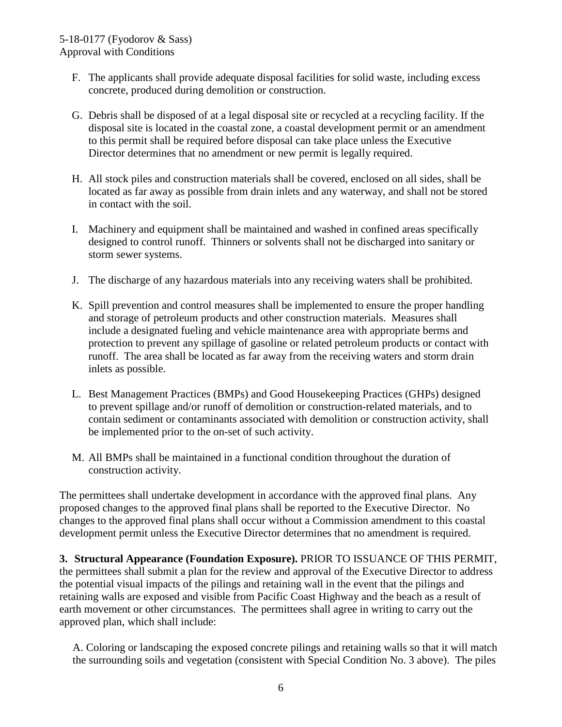- F. The applicants shall provide adequate disposal facilities for solid waste, including excess concrete, produced during demolition or construction.
- G. Debris shall be disposed of at a legal disposal site or recycled at a recycling facility. If the disposal site is located in the coastal zone, a coastal development permit or an amendment to this permit shall be required before disposal can take place unless the Executive Director determines that no amendment or new permit is legally required.
- H. All stock piles and construction materials shall be covered, enclosed on all sides, shall be located as far away as possible from drain inlets and any waterway, and shall not be stored in contact with the soil.
- I. Machinery and equipment shall be maintained and washed in confined areas specifically designed to control runoff. Thinners or solvents shall not be discharged into sanitary or storm sewer systems.
- J. The discharge of any hazardous materials into any receiving waters shall be prohibited.
- K. Spill prevention and control measures shall be implemented to ensure the proper handling and storage of petroleum products and other construction materials. Measures shall include a designated fueling and vehicle maintenance area with appropriate berms and protection to prevent any spillage of gasoline or related petroleum products or contact with runoff. The area shall be located as far away from the receiving waters and storm drain inlets as possible.
- L. Best Management Practices (BMPs) and Good Housekeeping Practices (GHPs) designed to prevent spillage and/or runoff of demolition or construction-related materials, and to contain sediment or contaminants associated with demolition or construction activity, shall be implemented prior to the on-set of such activity.
- M. All BMPs shall be maintained in a functional condition throughout the duration of construction activity.

The permittees shall undertake development in accordance with the approved final plans. Any proposed changes to the approved final plans shall be reported to the Executive Director. No changes to the approved final plans shall occur without a Commission amendment to this coastal development permit unless the Executive Director determines that no amendment is required.

**3. Structural Appearance (Foundation Exposure).** PRIOR TO ISSUANCE OF THIS PERMIT, the permittees shall submit a plan for the review and approval of the Executive Director to address the potential visual impacts of the pilings and retaining wall in the event that the pilings and retaining walls are exposed and visible from Pacific Coast Highway and the beach as a result of earth movement or other circumstances. The permittees shall agree in writing to carry out the approved plan, which shall include:

A. Coloring or landscaping the exposed concrete pilings and retaining walls so that it will match the surrounding soils and vegetation (consistent with Special Condition No. 3 above). The piles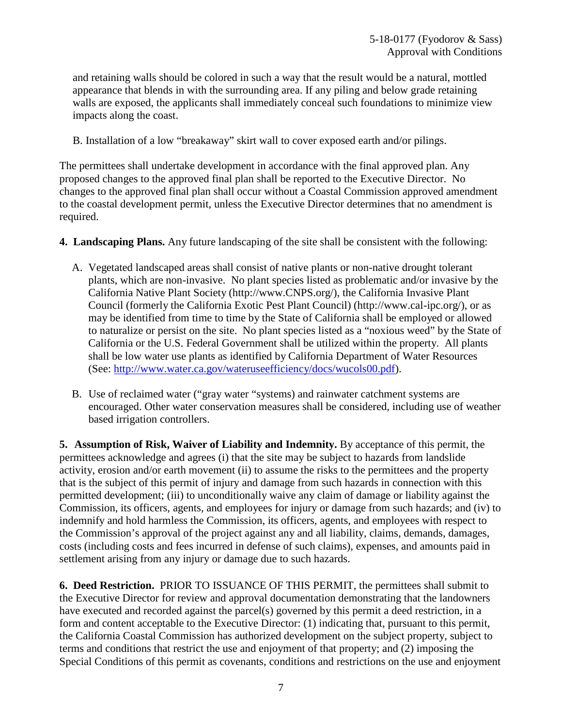and retaining walls should be colored in such a way that the result would be a natural, mottled appearance that blends in with the surrounding area. If any piling and below grade retaining walls are exposed, the applicants shall immediately conceal such foundations to minimize view impacts along the coast.

B. Installation of a low "breakaway" skirt wall to cover exposed earth and/or pilings.

The permittees shall undertake development in accordance with the final approved plan. Any proposed changes to the approved final plan shall be reported to the Executive Director. No changes to the approved final plan shall occur without a Coastal Commission approved amendment to the coastal development permit, unless the Executive Director determines that no amendment is required.

- **4. Landscaping Plans.** Any future landscaping of the site shall be consistent with the following:
	- A. Vegetated landscaped areas shall consist of native plants or non-native drought tolerant plants, which are non-invasive. No plant species listed as problematic and/or invasive by the California Native Plant Society [\(http://www.CNPS.org/](http://www.cnps.org/))), the California Invasive Plant Council (formerly the California Exotic Pest Plant Council) [\(http://www.cal-ipc.org/](http://www.cal-ipc.org/))), or as may be identified from time to time by the State of California shall be employed or allowed to naturalize or persist on the site. No plant species listed as a "noxious weed" by the State of California or the U.S. Federal Government shall be utilized within the property. All plants shall be low water use plants as identified by California Department of Water Resources (See: [http://www.water.ca.gov/wateruseefficiency/docs/wucols00.pdf\)](http://www.water.ca.gov/wateruseefficiency/docs/wucols00.pdf).
	- B. Use of reclaimed water ("gray water "systems) and rainwater catchment systems are encouraged. Other water conservation measures shall be considered, including use of weather based irrigation controllers.

**5. Assumption of Risk, Waiver of Liability and Indemnity.** By acceptance of this permit, the permittees acknowledge and agrees (i) that the site may be subject to hazards from landslide activity, erosion and/or earth movement (ii) to assume the risks to the permittees and the property that is the subject of this permit of injury and damage from such hazards in connection with this permitted development; (iii) to unconditionally waive any claim of damage or liability against the Commission, its officers, agents, and employees for injury or damage from such hazards; and (iv) to indemnify and hold harmless the Commission, its officers, agents, and employees with respect to the Commission's approval of the project against any and all liability, claims, demands, damages, costs (including costs and fees incurred in defense of such claims), expenses, and amounts paid in settlement arising from any injury or damage due to such hazards.

**6. Deed Restriction.** PRIOR TO ISSUANCE OF THIS PERMIT, the permittees shall submit to the Executive Director for review and approval documentation demonstrating that the landowners have executed and recorded against the parcel(s) governed by this permit a deed restriction, in a form and content acceptable to the Executive Director: (1) indicating that, pursuant to this permit, the California Coastal Commission has authorized development on the subject property, subject to terms and conditions that restrict the use and enjoyment of that property; and (2) imposing the Special Conditions of this permit as covenants, conditions and restrictions on the use and enjoyment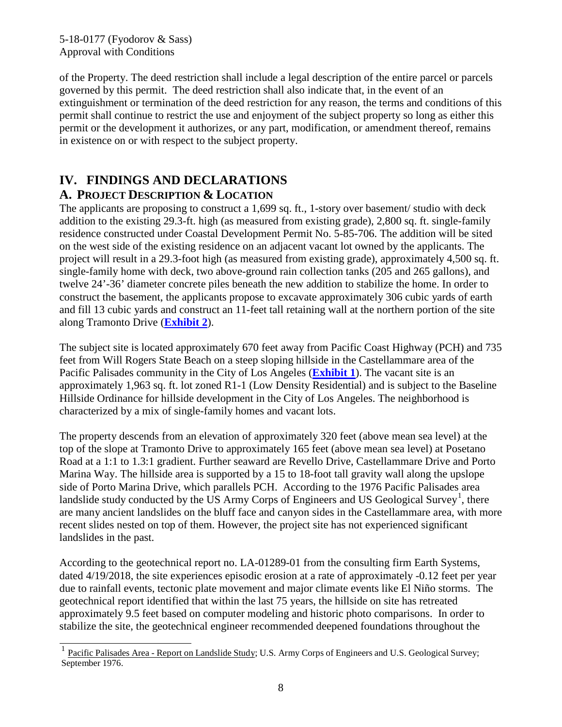of the Property. The deed restriction shall include a legal description of the entire parcel or parcels governed by this permit. The deed restriction shall also indicate that, in the event of an extinguishment or termination of the deed restriction for any reason, the terms and conditions of this permit shall continue to restrict the use and enjoyment of the subject property so long as either this permit or the development it authorizes, or any part, modification, or amendment thereof, remains in existence on or with respect to the subject property.

### <span id="page-7-0"></span>**IV. FINDINGS AND DECLARATIONS A. PROJECT DESCRIPTION & LOCATION**

<span id="page-7-1"></span>The applicants are proposing to construct a 1,699 sq. ft., 1-story over basement/ studio with deck addition to the existing 29.3-ft. high (as measured from existing grade), 2,800 sq. ft. single-family residence constructed under Coastal Development Permit No. 5-85-706. The addition will be sited on the west side of the existing residence on an adjacent vacant lot owned by the applicants. The project will result in a 29.3-foot high (as measured from existing grade), approximately 4,500 sq. ft. single-family home with deck, two above-ground rain collection tanks (205 and 265 gallons), and twelve 24'-36' diameter concrete piles beneath the new addition to stabilize the home. In order to construct the basement, the applicants propose to excavate approximately 306 cubic yards of earth and fill 13 cubic yards and construct an 11-feet tall retaining wall at the northern portion of the site along Tramonto Drive (**[Exhibit 2](https://documents.coastal.ca.gov/reports/2018/7/W7a/W7a-7-2018-exhibits.pdf)**).

The subject site is located approximately 670 feet away from Pacific Coast Highway (PCH) and 735 feet from Will Rogers State Beach on a steep sloping hillside in the Castellammare area of the Pacific Palisades community in the City of Los Angeles (**[Exhibit 1](https://documents.coastal.ca.gov/reports/2018/7/W7a/W7a-7-2018-exhibits.pdf)**). The vacant site is an approximately 1,963 sq. ft. lot zoned R1-1 (Low Density Residential) and is subject to the Baseline Hillside Ordinance for hillside development in the City of Los Angeles. The neighborhood is characterized by a mix of single-family homes and vacant lots.

The property descends from an elevation of approximately 320 feet (above mean sea level) at the top of the slope at Tramonto Drive to approximately 165 feet (above mean sea level) at Posetano Road at a 1:1 to 1.3:1 gradient. Further seaward are Revello Drive, Castellammare Drive and Porto Marina Way. The hillside area is supported by a 15 to 18-foot tall gravity wall along the upslope side of Porto Marina Drive, which parallels PCH. According to the 1976 Pacific Palisades area landslide study conducted by the US Army Corps of Engineers and US Geological Survey<sup>[1](#page-7-2)</sup>, there are many ancient landslides on the bluff face and canyon sides in the Castellammare area, with more recent slides nested on top of them. However, the project site has not experienced significant landslides in the past.

According to the geotechnical report no. LA-01289-01 from the consulting firm Earth Systems, dated 4/19/2018, the site experiences episodic erosion at a rate of approximately -0.12 feet per year due to rainfall events, tectonic plate movement and major climate events like El Niño storms. The geotechnical report identified that within the last 75 years, the hillside on site has retreated approximately 9.5 feet based on computer modeling and historic photo comparisons. In order to stabilize the site, the geotechnical engineer recommended deepened foundations throughout the

<span id="page-7-2"></span> $\overline{a}$ <sup>1</sup> Pacific Palisades Area - Report on Landslide Study; U.S. Army Corps of Engineers and U.S. Geological Survey; September 1976.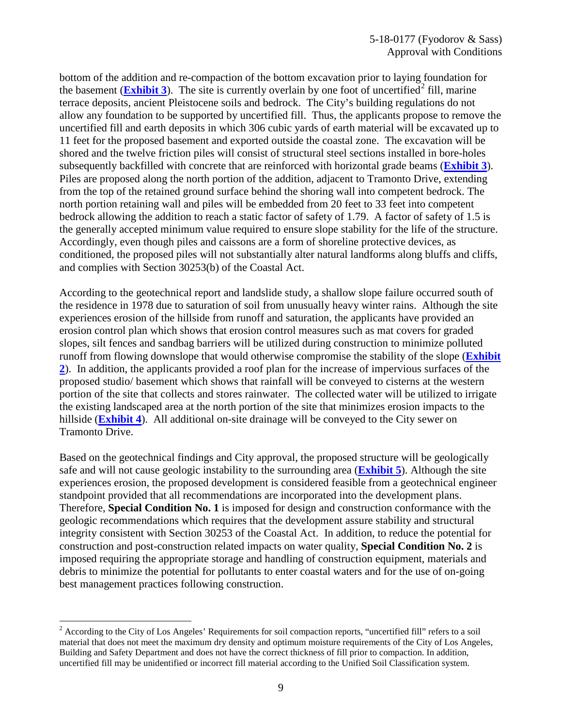bottom of the addition and re-compaction of the bottom excavation prior to laying foundation for the basement (**[Exhibit 3](https://documents.coastal.ca.gov/reports/2018/7/W7a/W7a-7-2018-exhibits.pdf)**). The site is currently overlain by one foot of uncertified<sup>[2](#page-8-0)</sup> fill, marine terrace deposits, ancient Pleistocene soils and bedrock. The City's building regulations do not allow any foundation to be supported by uncertified fill. Thus, the applicants propose to remove the uncertified fill and earth deposits in which 306 cubic yards of earth material will be excavated up to 11 feet for the proposed basement and exported outside the coastal zone. The excavation will be shored and the twelve friction piles will consist of structural steel sections installed in bore-holes subsequently backfilled with concrete that are reinforced with horizontal grade beams (**[Exhibit 3](https://documents.coastal.ca.gov/reports/2018/7/W7a/W7a-7-2018-exhibits.pdf)**). Piles are proposed along the north portion of the addition, adjacent to Tramonto Drive, extending from the top of the retained ground surface behind the shoring wall into competent bedrock. The north portion retaining wall and piles will be embedded from 20 feet to 33 feet into competent bedrock allowing the addition to reach a static factor of safety of 1.79. A factor of safety of 1.5 is the generally accepted minimum value required to ensure slope stability for the life of the structure. Accordingly, even though piles and caissons are a form of shoreline protective devices, as conditioned, the proposed piles will not substantially alter natural landforms along bluffs and cliffs, and complies with Section 30253(b) of the Coastal Act.

According to the geotechnical report and landslide study, a shallow slope failure occurred south of the residence in 1978 due to saturation of soil from unusually heavy winter rains. Although the site experiences erosion of the hillside from runoff and saturation, the applicants have provided an erosion control plan which shows that erosion control measures such as mat covers for graded slopes, silt fences and sandbag barriers will be utilized during construction to minimize polluted runoff from flowing downslope that would otherwise compromise the stability of the slope (**[Exhibit](https://documents.coastal.ca.gov/reports/2018/7/W7a/W7a-7-2018-exhibits.pdf)  [2](https://documents.coastal.ca.gov/reports/2018/7/W7a/W7a-7-2018-exhibits.pdf)**). In addition, the applicants provided a roof plan for the increase of impervious surfaces of the proposed studio/ basement which shows that rainfall will be conveyed to cisterns at the western portion of the site that collects and stores rainwater. The collected water will be utilized to irrigate the existing landscaped area at the north portion of the site that minimizes erosion impacts to the hillside (**[Exhibit 4](https://documents.coastal.ca.gov/reports/2018/7/W7a/W7a-7-2018-exhibits.pdf)**). All additional on-site drainage will be conveyed to the City sewer on Tramonto Drive.

Based on the geotechnical findings and City approval, the proposed structure will be geologically safe and will not cause geologic instability to the surrounding area (**[Exhibit 5](https://documents.coastal.ca.gov/reports/2018/7/W7a/W7a-7-2018-exhibits.pdf)**). Although the site experiences erosion, the proposed development is considered feasible from a geotechnical engineer standpoint provided that all recommendations are incorporated into the development plans. Therefore, **Special Condition No. 1** is imposed for design and construction conformance with the geologic recommendations which requires that the development assure stability and structural integrity consistent with Section 30253 of the Coastal Act. In addition, to reduce the potential for construction and post-construction related impacts on water quality, **Special Condition No. 2** is imposed requiring the appropriate storage and handling of construction equipment, materials and debris to minimize the potential for pollutants to enter coastal waters and for the use of on-going best management practices following construction.

 $\overline{a}$ 

<span id="page-8-0"></span> $2$  According to the City of Los Angeles' Requirements for soil compaction reports, "uncertified fill" refers to a soil material that does not meet the maximum dry density and optimum moisture requirements of the City of Los Angeles, Building and Safety Department and does not have the correct thickness of fill prior to compaction. In addition, uncertified fill may be unidentified or incorrect fill material according to the Unified Soil Classification system.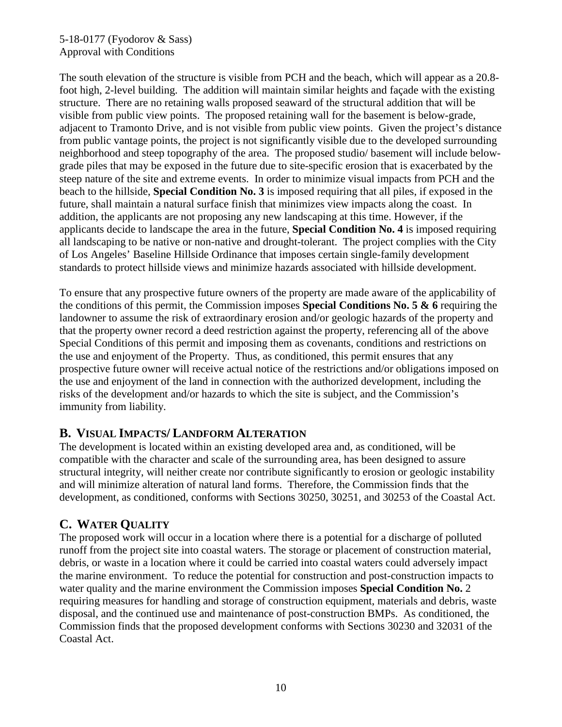#### 5-18-0177 (Fyodorov & Sass) Approval with Conditions

The south elevation of the structure is visible from PCH and the beach, which will appear as a 20.8 foot high, 2-level building. The addition will maintain similar heights and façade with the existing structure. There are no retaining walls proposed seaward of the structural addition that will be visible from public view points. The proposed retaining wall for the basement is below-grade, adjacent to Tramonto Drive, and is not visible from public view points. Given the project's distance from public vantage points, the project is not significantly visible due to the developed surrounding neighborhood and steep topography of the area. The proposed studio/ basement will include belowgrade piles that may be exposed in the future due to site-specific erosion that is exacerbated by the steep nature of the site and extreme events. In order to minimize visual impacts from PCH and the beach to the hillside, **Special Condition No. 3** is imposed requiring that all piles, if exposed in the future, shall maintain a natural surface finish that minimizes view impacts along the coast. In addition, the applicants are not proposing any new landscaping at this time. However, if the applicants decide to landscape the area in the future, **Special Condition No. 4** is imposed requiring all landscaping to be native or non-native and drought-tolerant. The project complies with the City of Los Angeles' Baseline Hillside Ordinance that imposes certain single-family development standards to protect hillside views and minimize hazards associated with hillside development.

To ensure that any prospective future owners of the property are made aware of the applicability of the conditions of this permit, the Commission imposes **Special Conditions No. 5 & 6** requiring the landowner to assume the risk of extraordinary erosion and/or geologic hazards of the property and that the property owner record a deed restriction against the property, referencing all of the above Special Conditions of this permit and imposing them as covenants, conditions and restrictions on the use and enjoyment of the Property. Thus, as conditioned, this permit ensures that any prospective future owner will receive actual notice of the restrictions and/or obligations imposed on the use and enjoyment of the land in connection with the authorized development, including the risks of the development and/or hazards to which the site is subject, and the Commission's immunity from liability.

#### <span id="page-9-0"></span>**B. VISUAL IMPACTS/ LANDFORM ALTERATION**

The development is located within an existing developed area and, as conditioned, will be compatible with the character and scale of the surrounding area, has been designed to assure structural integrity, will neither create nor contribute significantly to erosion or geologic instability and will minimize alteration of natural land forms. Therefore, the Commission finds that the development, as conditioned, conforms with Sections 30250, 30251, and 30253 of the Coastal Act.

### <span id="page-9-1"></span>**C. WATER QUALITY**

The proposed work will occur in a location where there is a potential for a discharge of polluted runoff from the project site into coastal waters. The storage or placement of construction material, debris, or waste in a location where it could be carried into coastal waters could adversely impact the marine environment. To reduce the potential for construction and post-construction impacts to water quality and the marine environment the Commission imposes **Special Condition No.** 2 requiring measures for handling and storage of construction equipment, materials and debris, waste disposal, and the continued use and maintenance of post-construction BMPs. As conditioned, the Commission finds that the proposed development conforms with Sections 30230 and 32031 of the Coastal Act.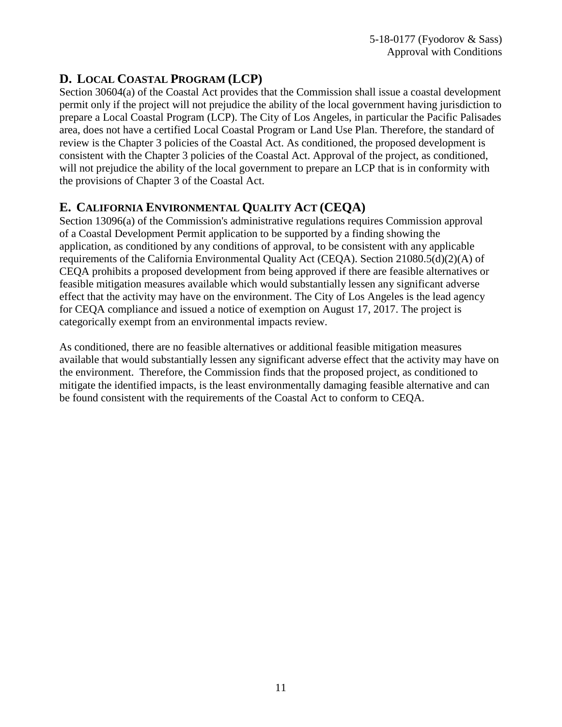# <span id="page-10-0"></span>**D. LOCAL COASTAL PROGRAM (LCP)**

Section 30604(a) of the Coastal Act provides that the Commission shall issue a coastal development permit only if the project will not prejudice the ability of the local government having jurisdiction to prepare a Local Coastal Program (LCP). The City of Los Angeles, in particular the Pacific Palisades area, does not have a certified Local Coastal Program or Land Use Plan. Therefore, the standard of review is the Chapter 3 policies of the Coastal Act. As conditioned, the proposed development is consistent with the Chapter 3 policies of the Coastal Act. Approval of the project, as conditioned, will not prejudice the ability of the local government to prepare an LCP that is in conformity with the provisions of Chapter 3 of the Coastal Act.

# <span id="page-10-1"></span>**E. CALIFORNIA ENVIRONMENTAL QUALITY ACT (CEQA)**

Section 13096(a) of the Commission's administrative regulations requires Commission approval of a Coastal Development Permit application to be supported by a finding showing the application, as conditioned by any conditions of approval, to be consistent with any applicable requirements of the California Environmental Quality Act (CEQA). Section 21080.5(d)(2)(A) of CEQA prohibits a proposed development from being approved if there are feasible alternatives or feasible mitigation measures available which would substantially lessen any significant adverse effect that the activity may have on the environment. The City of Los Angeles is the lead agency for CEQA compliance and issued a notice of exemption on August 17, 2017. The project is categorically exempt from an environmental impacts review.

As conditioned, there are no feasible alternatives or additional feasible mitigation measures available that would substantially lessen any significant adverse effect that the activity may have on the environment. Therefore, the Commission finds that the proposed project, as conditioned to mitigate the identified impacts, is the least environmentally damaging feasible alternative and can be found consistent with the requirements of the Coastal Act to conform to CEQA.